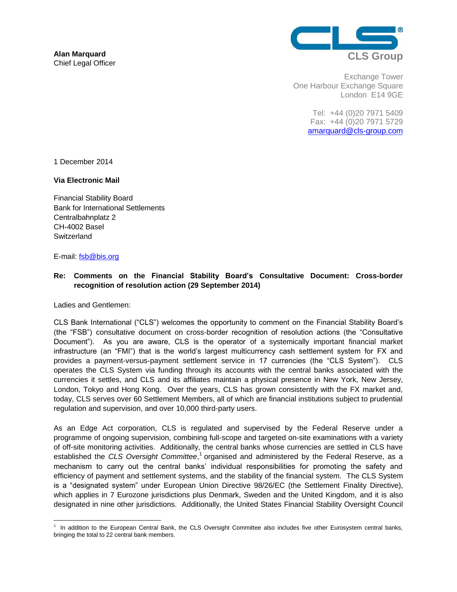

Exchange Tower One Harbour Exchange Square London E14 9GE

> Tel: +44 (0)20 7971 5409 Fax: +44 (0)20 7971 5729 [amarquard@cls-group.com](mailto:amarquard@cls-group.com)

1 December 2014

### **Via Electronic Mail**

Financial Stability Board Bank for International Settlements Centralbahnplatz 2 CH-4002 Basel **Switzerland** 

### E-mail: [fsb@bis.org](mailto:fsb@bis.org)

# **Re: Comments on the Financial Stability Board's Consultative Document: Cross-border recognition of resolution action (29 September 2014)**

Ladies and Gentlemen:

CLS Bank International ("CLS") welcomes the opportunity to comment on the Financial Stability Board's (the "FSB") consultative document on cross-border recognition of resolution actions (the "Consultative Document"). As you are aware, CLS is the operator of a systemically important financial market infrastructure (an "FMI") that is the world's largest multicurrency cash settlement system for FX and provides a payment-versus-payment settlement service in 17 currencies (the "CLS System"). CLS operates the CLS System via funding through its accounts with the central banks associated with the currencies it settles, and CLS and its affiliates maintain a physical presence in New York, New Jersey, London, Tokyo and Hong Kong. Over the years, CLS has grown consistently with the FX market and, today, CLS serves over 60 Settlement Members, all of which are financial institutions subject to prudential regulation and supervision, and over 10,000 third-party users.

As an Edge Act corporation, CLS is regulated and supervised by the Federal Reserve under a programme of ongoing supervision, combining full-scope and targeted on-site examinations with a variety of off-site monitoring activities. Additionally, the central banks whose currencies are settled in CLS have established the CLS Oversight Committee,<sup>1</sup> organised and administered by the Federal Reserve, as a mechanism to carry out the central banks' individual responsibilities for promoting the safety and efficiency of payment and settlement systems, and the stability of the financial system. The CLS System is a "designated system" under European Union Directive 98/26/EC (the Settlement Finality Directive), which applies in 7 Eurozone jurisdictions plus Denmark, Sweden and the United Kingdom, and it is also designated in nine other jurisdictions. Additionally, the United States Financial Stability Oversight Council

 1 In addition to the European Central Bank, the CLS Oversight Committee also includes five other Eurosystem central banks, bringing the total to 22 central bank members.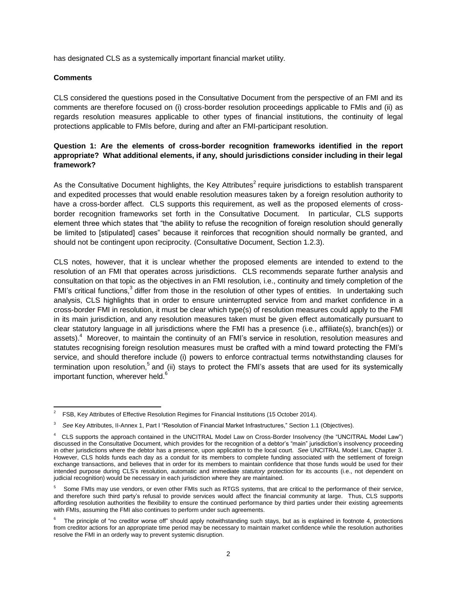has designated CLS as a systemically important financial market utility.

#### **Comments**

 $\overline{a}$ 

CLS considered the questions posed in the Consultative Document from the perspective of an FMI and its comments are therefore focused on (i) cross-border resolution proceedings applicable to FMIs and (ii) as regards resolution measures applicable to other types of financial institutions, the continuity of legal protections applicable to FMIs before, during and after an FMI-participant resolution.

# **Question 1: Are the elements of cross-border recognition frameworks identified in the report appropriate? What additional elements, if any, should jurisdictions consider including in their legal framework?**

As the Consultative Document highlights, the Key Attributes<sup>2</sup> require jurisdictions to establish transparent and expedited processes that would enable resolution measures taken by a foreign resolution authority to have a cross-border affect. CLS supports this requirement, as well as the proposed elements of crossborder recognition frameworks set forth in the Consultative Document.In particular, CLS supports element three which states that "the ability to refuse the recognition of foreign resolution should generally be limited to [stipulated] cases" because it reinforces that recognition should normally be granted, and should not be contingent upon reciprocity. (Consultative Document, Section 1.2.3).

CLS notes, however, that it is unclear whether the proposed elements are intended to extend to the resolution of an FMI that operates across jurisdictions. CLS recommends separate further analysis and consultation on that topic as the objectives in an FMI resolution, i.e., continuity and timely completion of the FMI's critical functions,<sup>3</sup> differ from those in the resolution of other types of entities. In undertaking such analysis, CLS highlights that in order to ensure uninterrupted service from and market confidence in a cross-border FMI in resolution, it must be clear which type(s) of resolution measures could apply to the FMI in its main jurisdiction, and any resolution measures taken must be given effect automatically pursuant to clear statutory language in all jurisdictions where the FMI has a presence (i.e., affiliate(s), branch(es)) or assets).<sup>4</sup> Moreover, to maintain the continuity of an FMI's service in resolution, resolution measures and statutes recognising foreign resolution measures must be crafted with a mind toward protecting the FMI's service, and should therefore include (i) powers to enforce contractual terms notwithstanding clauses for termination upon resolution,<sup>5</sup> and (ii) stays to protect the FMI's assets that are used for its systemically important function, wherever held. $6$ 

<sup>2</sup> FSB, Key Attributes of Effective Resolution Regimes for Financial Institutions (15 October 2014).

<sup>3</sup> *See* Key Attributes, II-Annex 1, Part I "Resolution of Financial Market Infrastructures," Section 1.1 (Objectives).

<sup>4</sup> CLS supports the approach contained in the UNCITRAL Model Law on Cross-Border Insolvency (the "UNCITRAL Model Law") discussed in the Consultative Document, which provides for the recognition of a debtor's "main" jurisdiction's insolvency proceeding in other jurisdictions where the debtor has a presence, upon application to the local court. *See* UNCITRAL Model Law, Chapter 3. However, CLS holds funds each day as a conduit for its members to complete funding associated with the settlement of foreign exchange transactions, and believes that in order for its members to maintain confidence that those funds would be used for their intended purpose during CLS's resolution, automatic and immediate *statutory* protection for its accounts (i.e., not dependent on judicial recognition) would be necessary in each jurisdiction where they are maintained.

<sup>5</sup> Some FMIs may use vendors, or even other FMIs such as RTGS systems, that are critical to the performance of their service, and therefore such third party's refusal to provide services would affect the financial community at large. Thus, CLS supports affording resolution authorities the flexibility to ensure the continued performance by third parties under their existing agreements with FMIs, assuming the FMI also continues to perform under such agreements.

<sup>6</sup> The principle of "no creditor worse off" should apply notwithstanding such stays, but as is explained in footnote 4, protections from creditor actions for an appropriate time period may be necessary to maintain market confidence while the resolution authorities resolve the FMI in an orderly way to prevent systemic disruption.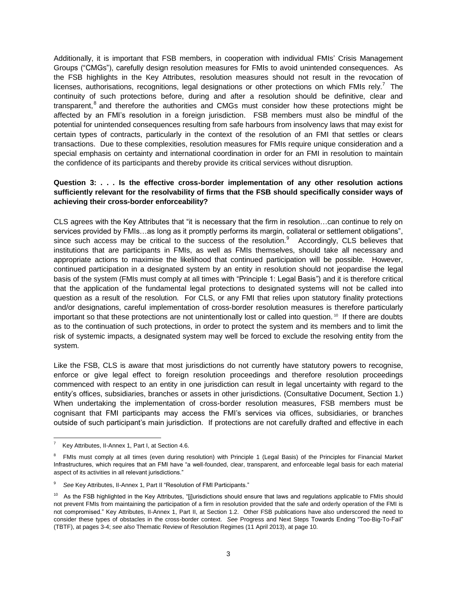Additionally, it is important that FSB members, in cooperation with individual FMIs' Crisis Management Groups ("CMGs"), carefully design resolution measures for FMIs to avoid unintended consequences. As the FSB highlights in the Key Attributes, resolution measures should not result in the revocation of licenses, authorisations, recognitions, legal designations or other protections on which FMIs rely.<sup>7</sup> The continuity of such protections before, during and after a resolution should be definitive, clear and transparent,<sup>8</sup> and therefore the authorities and CMGs must consider how these protections might be affected by an FMI's resolution in a foreign jurisdiction. FSB members must also be mindful of the potential for unintended consequences resulting from safe harbours from insolvency laws that may exist for certain types of contracts, particularly in the context of the resolution of an FMI that settles or clears transactions. Due to these complexities, resolution measures for FMIs require unique consideration and a special emphasis on certainty and international coordination in order for an FMI in resolution to maintain the confidence of its participants and thereby provide its critical services without disruption.

## **Question 3: . . . Is the effective cross-border implementation of any other resolution actions sufficiently relevant for the resolvability of firms that the FSB should specifically consider ways of achieving their cross-border enforceability?**

CLS agrees with the Key Attributes that "it is necessary that the firm in resolution…can continue to rely on services provided by FMIs…as long as it promptly performs its margin, collateral or settlement obligations", since such access may be critical to the success of the resolution. $9$  Accordingly, CLS believes that institutions that are participants in FMIs, as well as FMIs themselves, should take all necessary and appropriate actions to maximise the likelihood that continued participation will be possible. However, continued participation in a designated system by an entity in resolution should not jeopardise the legal basis of the system (FMIs must comply at all times with "Principle 1: Legal Basis") and it is therefore critical that the application of the fundamental legal protections to designated systems will not be called into question as a result of the resolution. For CLS, or any FMI that relies upon statutory finality protections and/or designations, careful implementation of cross-border resolution measures is therefore particularly important so that these protections are not unintentionally lost or called into question.<sup>10</sup> If there are doubts as to the continuation of such protections, in order to protect the system and its members and to limit the risk of systemic impacts, a designated system may well be forced to exclude the resolving entity from the system.

Like the FSB, CLS is aware that most jurisdictions do not currently have statutory powers to recognise, enforce or give legal effect to foreign resolution proceedings and therefore resolution proceedings commenced with respect to an entity in one jurisdiction can result in legal uncertainty with regard to the entity's offices, subsidiaries, branches or assets in other jurisdictions. (Consultative Document, Section 1.) When undertaking the implementation of cross-border resolution measures, FSB members must be cognisant that FMI participants may access the FMI's services via offices, subsidiaries, or branches outside of such participant's main jurisdiction. If protections are not carefully drafted and effective in each

 $\frac{1}{7}$ Key Attributes, II-Annex 1, Part I, at Section 4.6.

<sup>&</sup>lt;sup>8</sup> FMIs must comply at all times (even during resolution) with Principle 1 (Legal Basis) of the Principles for Financial Market Infrastructures, which requires that an FMI have "a well-founded, clear, transparent, and enforceable legal basis for each material aspect of its activities in all relevant jurisdictions."

<sup>9</sup> *See* Key Attributes, II-Annex 1, Part II "Resolution of FMI Participants."

<sup>&</sup>lt;sup>10</sup> As the FSB highlighted in the Key Attributes, "[j]urisdictions should ensure that laws and regulations applicable to FMIs should not prevent FMIs from maintaining the participation of a firm in resolution provided that the safe and orderly operation of the FMI is not compromised." Key Attributes, II-Annex 1, Part II, at Section 1.2. Other FSB publications have also underscored the need to consider these types of obstacles in the cross-border context. *See* Progress and Next Steps Towards Ending "Too-Big-To-Fail" (TBTF), at pages 3-4; *see also* Thematic Review of Resolution Regimes (11 April 2013), at page 10.